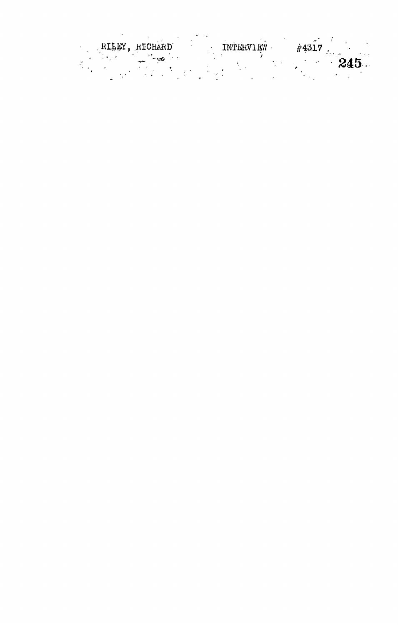|  | RILEY, RICHARD | <b>TNTERVIEW</b> | #4317 |      |
|--|----------------|------------------|-------|------|
|  |                |                  |       | 245. |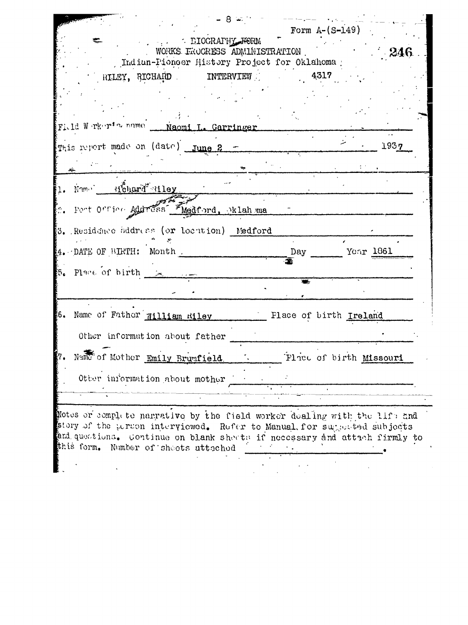| - The DIOGRAPHY FORM<br>WORKS EROCRESS ADMINISTRATION<br>Indian-Pioneer History Project for Oklahoma ;                                                                                                                                                                    |                        |                         | - 246 |
|---------------------------------------------------------------------------------------------------------------------------------------------------------------------------------------------------------------------------------------------------------------------------|------------------------|-------------------------|-------|
| RILEY, RICHARD INTERVIEW                                                                                                                                                                                                                                                  | 4317                   |                         |       |
| Field Werker's name __ Naomi L. Garringer                                                                                                                                                                                                                                 |                        |                         |       |
| This report made on (date) June 2 -                                                                                                                                                                                                                                       |                        |                         | 1937  |
|                                                                                                                                                                                                                                                                           |                        |                         |       |
| Name Hehard Hiley                                                                                                                                                                                                                                                         |                        |                         |       |
| 2. Post Office Address Medford, oklahoma                                                                                                                                                                                                                                  |                        |                         |       |
| $3$ . Residence address (or location) Medford                                                                                                                                                                                                                             |                        |                         |       |
| 4. DATE OF BIRTH: Month                                                                                                                                                                                                                                                   | Day                    | Year 1861               |       |
| $5.$ Place of birth $\sim$                                                                                                                                                                                                                                                |                        |                         |       |
| 6. Name of Father William Riley                                                                                                                                                                                                                                           | Flace of birth Ireland |                         |       |
| Other information about father                                                                                                                                                                                                                                            |                        |                         |       |
| Name of Mother Emily Brunfield.                                                                                                                                                                                                                                           |                        | Place of birth Missouri |       |
| Other information about mother                                                                                                                                                                                                                                            |                        |                         |       |
| Notes or complete narrative by the field worker doaling with the life and<br>story of the person interviewed. Refer to Manual for supposted subjects<br>and questions. Continue on blank sheets if necessary and attach firmly to<br>this form. Number of sheets attached |                        |                         |       |